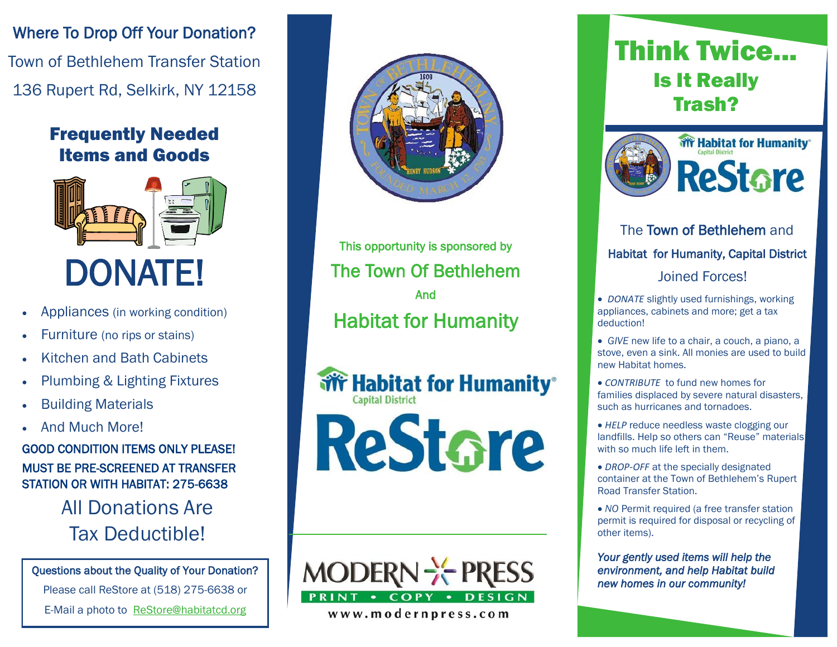Where To Drop Off Your Donation? Town of Bethlehem Transfer Station 136 Rupert Rd, Selkirk, NY 12158

## Frequently Needed Items and Goods



- Appliances (in working condition)
- Furniture (no rips or stains)
- Kitchen and Bath Cabinets
- Plumbing & Lighting Fixtures
- Building Materials
- And Much More!

GOOD CONDITION ITEMS ONLY PLEASE! MUST BE PRE-SCREENED AT TRANSFER STATION OR WITH HABITAT: 275-6638

> All Donations Are Tax Deductible!

Questions about the Quality of Your Donation?

Please call ReStore at (518) 275-6638 or

E-Mail a photo to ReStore@habitatcd.org



This opportunity is sponsored by The Town Of Bethlehem And Habitat for Humanity

**Wr Habitat for Humanity® Capital District** ReStare



www.modernpress.com

# Think Twice... Is It Really Trash?



## The Town of Bethlehem and Habitat for Humanity, Capital District Joined Forces!

 *DONATE* slightly used furnishings, working appliances, cabinets and more; get a tax deduction!

 *GIVE* new life to a chair, a couch, a piano, a stove, even a sink. All monies are used to build new Habitat homes.

 *CONTRIBUTE* to fund new homes for families displaced by severe natural disasters, such as hurricanes and tornadoes.

 *HELP* reduce needless waste clogging our landfills. Help so others can "Reuse" materials with so much life left in them.

 *DROP-OFF* at the specially designated container at the Town of Bethlehem's Rupert Road Transfer Station.

 *NO* Permit required (a free transfer station permit is required for disposal or recycling of other items).

*Your gently used items will help the environment, and help Habitat build new homes in our community!*